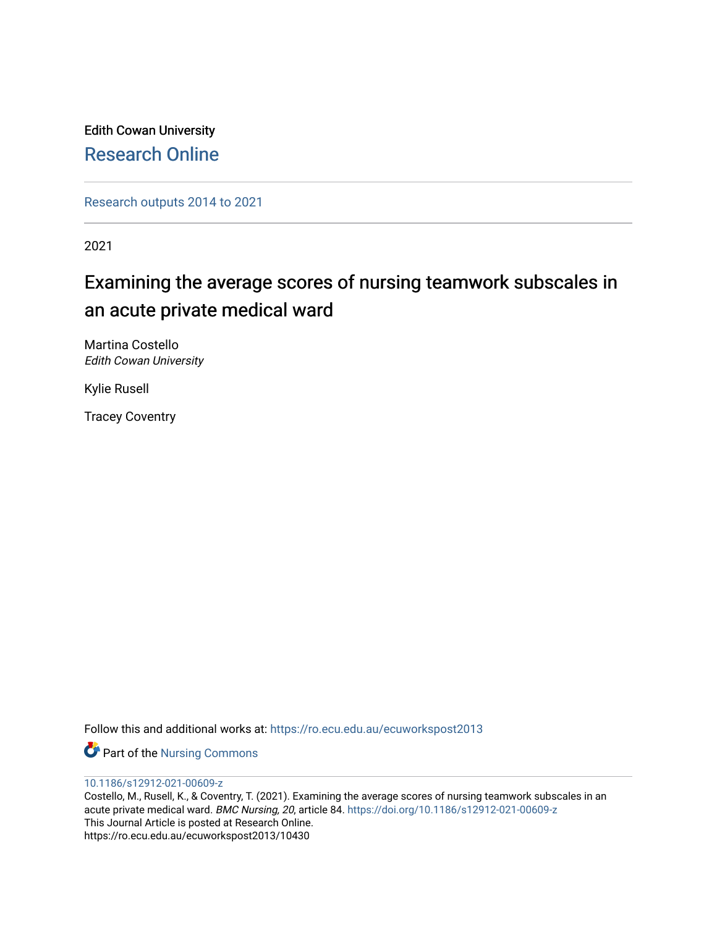Edith Cowan University [Research Online](https://ro.ecu.edu.au/) 

[Research outputs 2014 to 2021](https://ro.ecu.edu.au/ecuworkspost2013) 

2021

# Examining the average scores of nursing teamwork subscales in an acute private medical ward

Martina Costello Edith Cowan University

Kylie Rusell

Tracey Coventry

Follow this and additional works at: [https://ro.ecu.edu.au/ecuworkspost2013](https://ro.ecu.edu.au/ecuworkspost2013?utm_source=ro.ecu.edu.au%2Fecuworkspost2013%2F10430&utm_medium=PDF&utm_campaign=PDFCoverPages) 

**Part of the Nursing Commons** 

[10.1186/s12912-021-00609-z](http://dx.doi.org/10.1186/s12912-021-00609-z) 

Costello, M., Rusell, K., & Coventry, T. (2021). Examining the average scores of nursing teamwork subscales in an acute private medical ward. BMC Nursing, 20, article 84. <https://doi.org/10.1186/s12912-021-00609-z> This Journal Article is posted at Research Online. https://ro.ecu.edu.au/ecuworkspost2013/10430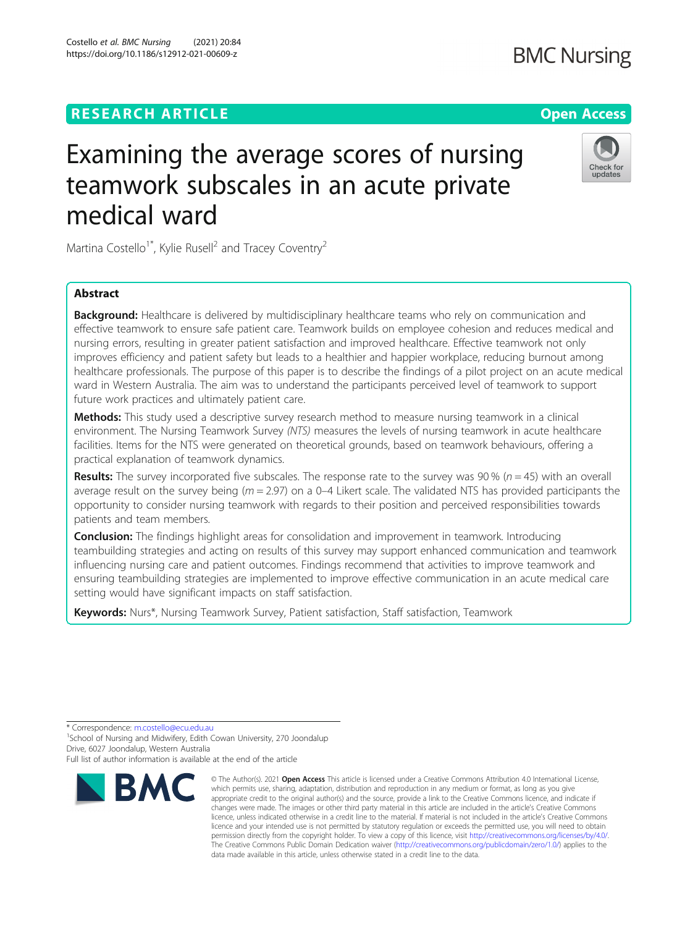# **RESEARCH ARTICLE Example 2014 12:30 The Open Access**

# Examining the average scores of nursing teamwork subscales in an acute private medical ward

Martina Costello<sup>1\*</sup>, Kylie Rusell<sup>2</sup> and Tracey Coventry<sup>2</sup>

# Abstract

Background: Healthcare is delivered by multidisciplinary healthcare teams who rely on communication and effective teamwork to ensure safe patient care. Teamwork builds on employee cohesion and reduces medical and nursing errors, resulting in greater patient satisfaction and improved healthcare. Effective teamwork not only improves efficiency and patient safety but leads to a healthier and happier workplace, reducing burnout among healthcare professionals. The purpose of this paper is to describe the findings of a pilot project on an acute medical ward in Western Australia. The aim was to understand the participants perceived level of teamwork to support future work practices and ultimately patient care.

Methods: This study used a descriptive survey research method to measure nursing teamwork in a clinical environment. The Nursing Teamwork Survey (NTS) measures the levels of nursing teamwork in acute healthcare facilities. Items for the NTS were generated on theoretical grounds, based on teamwork behaviours, offering a practical explanation of teamwork dynamics.

**Results:** The survey incorporated five subscales. The response rate to the survey was 90 % ( $n = 45$ ) with an overall average result on the survey being ( $m = 2.97$ ) on a 0–4 Likert scale. The validated NTS has provided participants the opportunity to consider nursing teamwork with regards to their position and perceived responsibilities towards patients and team members.

**Conclusion:** The findings highlight areas for consolidation and improvement in teamwork. Introducing teambuilding strategies and acting on results of this survey may support enhanced communication and teamwork influencing nursing care and patient outcomes. Findings recommend that activities to improve teamwork and ensuring teambuilding strategies are implemented to improve effective communication in an acute medical care setting would have significant impacts on staff satisfaction.

Keywords: Nurs\*, Nursing Teamwork Survey, Patient satisfaction, Staff satisfaction, Teamwork

\* Correspondence: [m.costello@ecu.edu.au](mailto:m.costello@ecu.edu.au) <sup>1</sup>

<sup>1</sup> School of Nursing and Midwifery, Edith Cowan University, 270 Joondalup Drive, 6027 Joondalup, Western Australia

Full list of author information is available at the end of the article



**BMC** 

© The Author(s), 2021 **Open Access** This article is licensed under a Creative Commons Attribution 4.0 International License,



**BMC Nursing** 



which permits use, sharing, adaptation, distribution and reproduction in any medium or format, as long as you give appropriate credit to the original author(s) and the source, provide a link to the Creative Commons licence, and indicate if changes were made. The images or other third party material in this article are included in the article's Creative Commons licence, unless indicated otherwise in a credit line to the material. If material is not included in the article's Creative Commons licence and your intended use is not permitted by statutory regulation or exceeds the permitted use, you will need to obtain permission directly from the copyright holder. To view a copy of this licence, visit [http://creativecommons.org/licenses/by/4.0/.](http://creativecommons.org/licenses/by/4.0/) The Creative Commons Public Domain Dedication waiver [\(http://creativecommons.org/publicdomain/zero/1.0/](http://creativecommons.org/publicdomain/zero/1.0/)) applies to the data made available in this article, unless otherwise stated in a credit line to the data.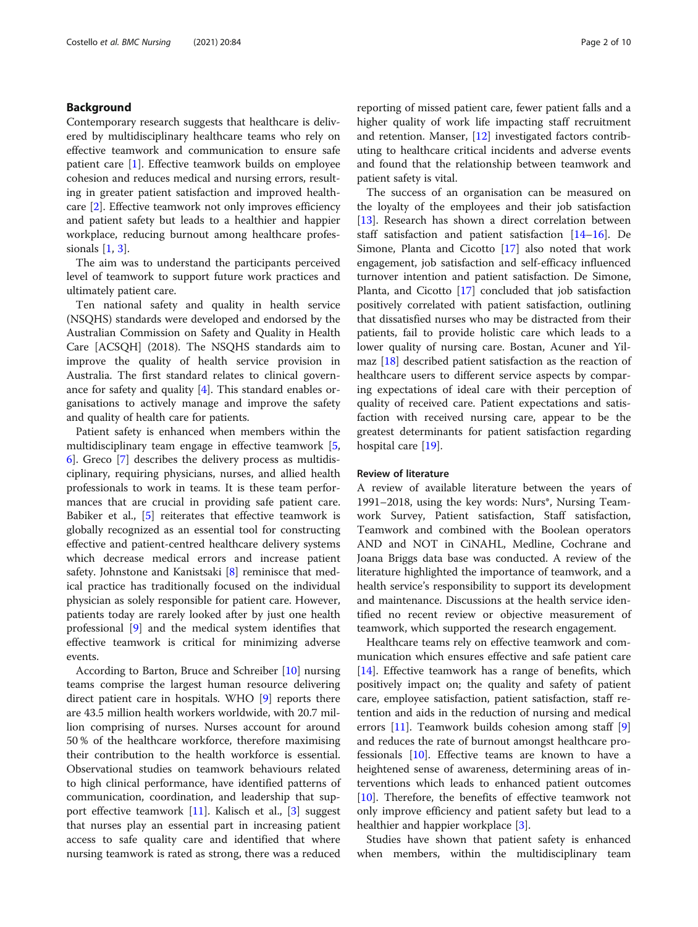# Background

Contemporary research suggests that healthcare is delivered by multidisciplinary healthcare teams who rely on effective teamwork and communication to ensure safe patient care [[1](#page-9-0)]. Effective teamwork builds on employee cohesion and reduces medical and nursing errors, resulting in greater patient satisfaction and improved healthcare [[2\]](#page-9-0). Effective teamwork not only improves efficiency and patient safety but leads to a healthier and happier workplace, reducing burnout among healthcare professionals [\[1](#page-9-0), [3](#page-9-0)].

The aim was to understand the participants perceived level of teamwork to support future work practices and ultimately patient care.

Ten national safety and quality in health service (NSQHS) standards were developed and endorsed by the Australian Commission on Safety and Quality in Health Care [ACSQH] (2018). The NSQHS standards aim to improve the quality of health service provision in Australia. The first standard relates to clinical governance for safety and quality [[4\]](#page-9-0). This standard enables organisations to actively manage and improve the safety and quality of health care for patients.

Patient safety is enhanced when members within the multidisciplinary team engage in effective teamwork [\[5](#page-9-0), [6\]](#page-9-0). Greco [[7](#page-9-0)] describes the delivery process as multidisciplinary, requiring physicians, nurses, and allied health professionals to work in teams. It is these team performances that are crucial in providing safe patient care. Babiker et al., [\[5\]](#page-9-0) reiterates that effective teamwork is globally recognized as an essential tool for constructing effective and patient-centred healthcare delivery systems which decrease medical errors and increase patient safety. Johnstone and Kanistsaki [[8\]](#page-9-0) reminisce that medical practice has traditionally focused on the individual physician as solely responsible for patient care. However, patients today are rarely looked after by just one health professional [\[9](#page-9-0)] and the medical system identifies that effective teamwork is critical for minimizing adverse events.

According to Barton, Bruce and Schreiber [[10](#page-9-0)] nursing teams comprise the largest human resource delivering direct patient care in hospitals. WHO [\[9](#page-9-0)] reports there are 43.5 million health workers worldwide, with 20.7 million comprising of nurses. Nurses account for around 50 % of the healthcare workforce, therefore maximising their contribution to the health workforce is essential. Observational studies on teamwork behaviours related to high clinical performance, have identified patterns of communication, coordination, and leadership that support effective teamwork [\[11](#page-9-0)]. Kalisch et al., [\[3](#page-9-0)] suggest that nurses play an essential part in increasing patient access to safe quality care and identified that where nursing teamwork is rated as strong, there was a reduced

reporting of missed patient care, fewer patient falls and a higher quality of work life impacting staff recruitment and retention. Manser, [\[12\]](#page-9-0) investigated factors contributing to healthcare critical incidents and adverse events and found that the relationship between teamwork and patient safety is vital.

The success of an organisation can be measured on the loyalty of the employees and their job satisfaction [[13\]](#page-9-0). Research has shown a direct correlation between staff satisfaction and patient satisfaction [\[14](#page-9-0)–[16\]](#page-9-0). De Simone, Planta and Cicotto [[17](#page-9-0)] also noted that work engagement, job satisfaction and self-efficacy influenced turnover intention and patient satisfaction. De Simone, Planta, and Cicotto [[17\]](#page-9-0) concluded that job satisfaction positively correlated with patient satisfaction, outlining that dissatisfied nurses who may be distracted from their patients, fail to provide holistic care which leads to a lower quality of nursing care. Bostan, Acuner and Yilmaz [\[18\]](#page-9-0) described patient satisfaction as the reaction of healthcare users to different service aspects by comparing expectations of ideal care with their perception of quality of received care. Patient expectations and satisfaction with received nursing care, appear to be the greatest determinants for patient satisfaction regarding hospital care [[19\]](#page-9-0).

# Review of literature

A review of available literature between the years of 1991–2018, using the key words: Nurs\*, Nursing Teamwork Survey, Patient satisfaction, Staff satisfaction, Teamwork and combined with the Boolean operators AND and NOT in CiNAHL, Medline, Cochrane and Joana Briggs data base was conducted. A review of the literature highlighted the importance of teamwork, and a health service's responsibility to support its development and maintenance. Discussions at the health service identified no recent review or objective measurement of teamwork, which supported the research engagement.

Healthcare teams rely on effective teamwork and communication which ensures effective and safe patient care [[14\]](#page-9-0). Effective teamwork has a range of benefits, which positively impact on; the quality and safety of patient care, employee satisfaction, patient satisfaction, staff retention and aids in the reduction of nursing and medical errors [[11](#page-9-0)]. Teamwork builds cohesion among staff [\[9](#page-9-0)] and reduces the rate of burnout amongst healthcare professionals [\[10](#page-9-0)]. Effective teams are known to have a heightened sense of awareness, determining areas of interventions which leads to enhanced patient outcomes [[10\]](#page-9-0). Therefore, the benefits of effective teamwork not only improve efficiency and patient safety but lead to a healthier and happier workplace [[3\]](#page-9-0).

Studies have shown that patient safety is enhanced when members, within the multidisciplinary team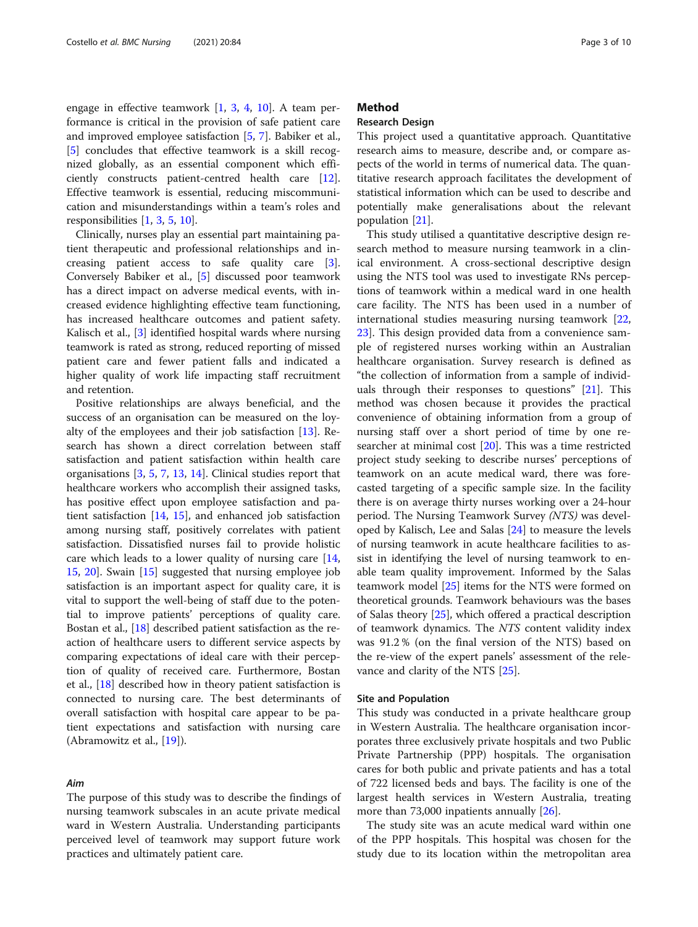engage in effective teamwork [\[1](#page-9-0), [3](#page-9-0), [4](#page-9-0), [10](#page-9-0)]. A team performance is critical in the provision of safe patient care and improved employee satisfaction [[5,](#page-9-0) [7\]](#page-9-0). Babiker et al., [[5\]](#page-9-0) concludes that effective teamwork is a skill recognized globally, as an essential component which efficiently constructs patient-centred health care [\[12](#page-9-0)]. Effective teamwork is essential, reducing miscommunication and misunderstandings within a team's roles and responsibilities [\[1](#page-9-0), [3](#page-9-0), [5](#page-9-0), [10](#page-9-0)].

Clinically, nurses play an essential part maintaining patient therapeutic and professional relationships and increasing patient access to safe quality care [\[3](#page-9-0)]. Conversely Babiker et al., [\[5](#page-9-0)] discussed poor teamwork has a direct impact on adverse medical events, with increased evidence highlighting effective team functioning, has increased healthcare outcomes and patient safety. Kalisch et al., [\[3](#page-9-0)] identified hospital wards where nursing teamwork is rated as strong, reduced reporting of missed patient care and fewer patient falls and indicated a higher quality of work life impacting staff recruitment and retention.

Positive relationships are always beneficial, and the success of an organisation can be measured on the loyalty of the employees and their job satisfaction [[13\]](#page-9-0). Research has shown a direct correlation between staff satisfaction and patient satisfaction within health care organisations [[3,](#page-9-0) [5](#page-9-0), [7](#page-9-0), [13](#page-9-0), [14](#page-9-0)]. Clinical studies report that healthcare workers who accomplish their assigned tasks, has positive effect upon employee satisfaction and patient satisfaction [[14,](#page-9-0) [15\]](#page-9-0), and enhanced job satisfaction among nursing staff, positively correlates with patient satisfaction. Dissatisfied nurses fail to provide holistic care which leads to a lower quality of nursing care [[14](#page-9-0), [15,](#page-9-0) [20](#page-9-0)]. Swain [[15\]](#page-9-0) suggested that nursing employee job satisfaction is an important aspect for quality care, it is vital to support the well-being of staff due to the potential to improve patients' perceptions of quality care. Bostan et al., [[18\]](#page-9-0) described patient satisfaction as the reaction of healthcare users to different service aspects by comparing expectations of ideal care with their perception of quality of received care. Furthermore, Bostan et al., [\[18\]](#page-9-0) described how in theory patient satisfaction is connected to nursing care. The best determinants of overall satisfaction with hospital care appear to be patient expectations and satisfaction with nursing care (Abramowitz et al., [[19\]](#page-9-0)).

#### Aim

The purpose of this study was to describe the findings of nursing teamwork subscales in an acute private medical ward in Western Australia. Understanding participants perceived level of teamwork may support future work practices and ultimately patient care.

# Method

# Research Design

This project used a quantitative approach. Quantitative research aims to measure, describe and, or compare aspects of the world in terms of numerical data. The quantitative research approach facilitates the development of statistical information which can be used to describe and potentially make generalisations about the relevant population [[21\]](#page-9-0).

This study utilised a quantitative descriptive design research method to measure nursing teamwork in a clinical environment. A cross-sectional descriptive design using the NTS tool was used to investigate RNs perceptions of teamwork within a medical ward in one health care facility. The NTS has been used in a number of international studies measuring nursing teamwork [[22](#page-9-0), [23\]](#page-9-0). This design provided data from a convenience sample of registered nurses working within an Australian healthcare organisation. Survey research is defined as "the collection of information from a sample of individuals through their responses to questions" [[21](#page-9-0)]. This method was chosen because it provides the practical convenience of obtaining information from a group of nursing staff over a short period of time by one researcher at minimal cost [[20\]](#page-9-0). This was a time restricted project study seeking to describe nurses' perceptions of teamwork on an acute medical ward, there was forecasted targeting of a specific sample size. In the facility there is on average thirty nurses working over a 24-hour period. The Nursing Teamwork Survey (NTS) was developed by Kalisch, Lee and Salas [\[24](#page-9-0)] to measure the levels of nursing teamwork in acute healthcare facilities to assist in identifying the level of nursing teamwork to enable team quality improvement. Informed by the Salas teamwork model [[25\]](#page-9-0) items for the NTS were formed on theoretical grounds. Teamwork behaviours was the bases of Salas theory [[25\]](#page-9-0), which offered a practical description of teamwork dynamics. The NTS content validity index was 91.2 % (on the final version of the NTS) based on the re-view of the expert panels' assessment of the relevance and clarity of the NTS [[25\]](#page-9-0).

#### Site and Population

This study was conducted in a private healthcare group in Western Australia. The healthcare organisation incorporates three exclusively private hospitals and two Public Private Partnership (PPP) hospitals. The organisation cares for both public and private patients and has a total of 722 licensed beds and bays. The facility is one of the largest health services in Western Australia, treating more than 73,000 inpatients annually [[26](#page-9-0)].

The study site was an acute medical ward within one of the PPP hospitals. This hospital was chosen for the study due to its location within the metropolitan area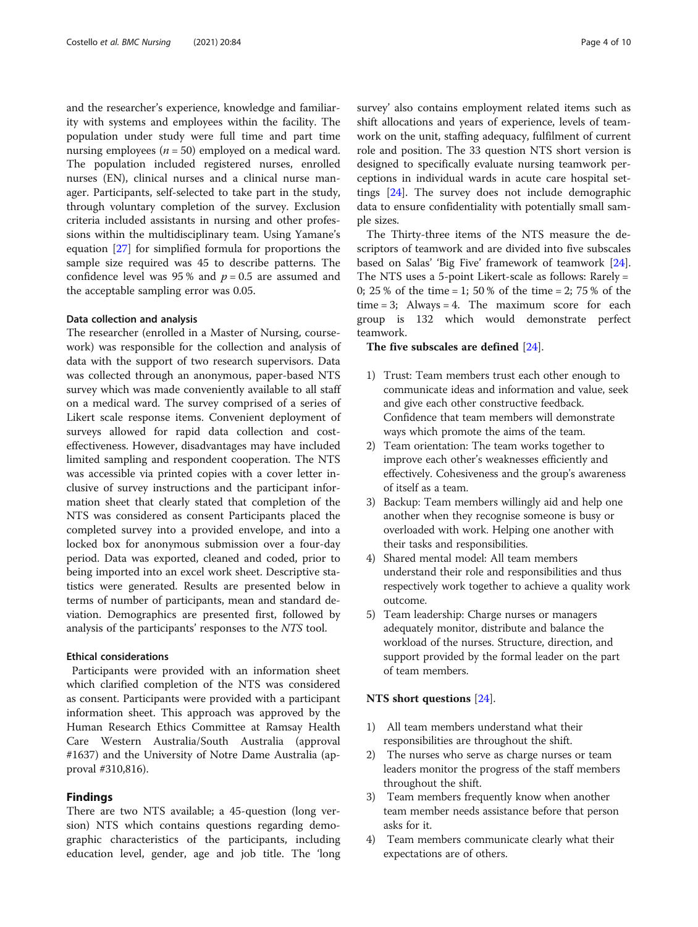and the researcher's experience, knowledge and familiarity with systems and employees within the facility. The population under study were full time and part time nursing employees ( $n = 50$ ) employed on a medical ward. The population included registered nurses, enrolled nurses (EN), clinical nurses and a clinical nurse manager. Participants, self-selected to take part in the study, through voluntary completion of the survey. Exclusion criteria included assistants in nursing and other professions within the multidisciplinary team. Using Yamane's equation [\[27\]](#page-9-0) for simplified formula for proportions the sample size required was 45 to describe patterns. The confidence level was 95% and  $p = 0.5$  are assumed and the acceptable sampling error was 0.05.

# Data collection and analysis

The researcher (enrolled in a Master of Nursing, coursework) was responsible for the collection and analysis of data with the support of two research supervisors. Data was collected through an anonymous, paper-based NTS survey which was made conveniently available to all staff on a medical ward. The survey comprised of a series of Likert scale response items. Convenient deployment of surveys allowed for rapid data collection and costeffectiveness. However, disadvantages may have included limited sampling and respondent cooperation. The NTS was accessible via printed copies with a cover letter inclusive of survey instructions and the participant information sheet that clearly stated that completion of the NTS was considered as consent Participants placed the completed survey into a provided envelope, and into a locked box for anonymous submission over a four-day period. Data was exported, cleaned and coded, prior to being imported into an excel work sheet. Descriptive statistics were generated. Results are presented below in terms of number of participants, mean and standard deviation. Demographics are presented first, followed by analysis of the participants' responses to the NTS tool.

# Ethical considerations

Participants were provided with an information sheet which clarified completion of the NTS was considered as consent. Participants were provided with a participant information sheet. This approach was approved by the Human Research Ethics Committee at Ramsay Health Care Western Australia/South Australia (approval #1637) and the University of Notre Dame Australia (approval #310,816).

# Findings

There are two NTS available; a 45-question (long version) NTS which contains questions regarding demographic characteristics of the participants, including education level, gender, age and job title. The 'long survey' also contains employment related items such as shift allocations and years of experience, levels of teamwork on the unit, staffing adequacy, fulfilment of current role and position. The 33 question NTS short version is designed to specifically evaluate nursing teamwork perceptions in individual wards in acute care hospital settings [[24\]](#page-9-0). The survey does not include demographic data to ensure confidentiality with potentially small sample sizes.

The Thirty-three items of the NTS measure the descriptors of teamwork and are divided into five subscales based on Salas' 'Big Five' framework of teamwork [\[24](#page-9-0)]. The NTS uses a 5-point Likert-scale as follows: Rarely = 0; 25 % of the time = 1; 50 % of the time = 2; 75 % of the  $time = 3$ ; Always = 4. The maximum score for each group is 132 which would demonstrate perfect teamwork.

#### The five subscales are defined [\[24\]](#page-9-0).

- 1) Trust: Team members trust each other enough to communicate ideas and information and value, seek and give each other constructive feedback. Confidence that team members will demonstrate ways which promote the aims of the team.
- 2) Team orientation: The team works together to improve each other's weaknesses efficiently and effectively. Cohesiveness and the group's awareness of itself as a team.
- 3) Backup: Team members willingly aid and help one another when they recognise someone is busy or overloaded with work. Helping one another with their tasks and responsibilities.
- 4) Shared mental model: All team members understand their role and responsibilities and thus respectively work together to achieve a quality work outcome.
- 5) Team leadership: Charge nurses or managers adequately monitor, distribute and balance the workload of the nurses. Structure, direction, and support provided by the formal leader on the part of team members.

#### NTS short questions [[24\]](#page-9-0).

- 1) All team members understand what their responsibilities are throughout the shift.
- 2) The nurses who serve as charge nurses or team leaders monitor the progress of the staff members throughout the shift.
- 3) Team members frequently know when another team member needs assistance before that person asks for it.
- 4) Team members communicate clearly what their expectations are of others.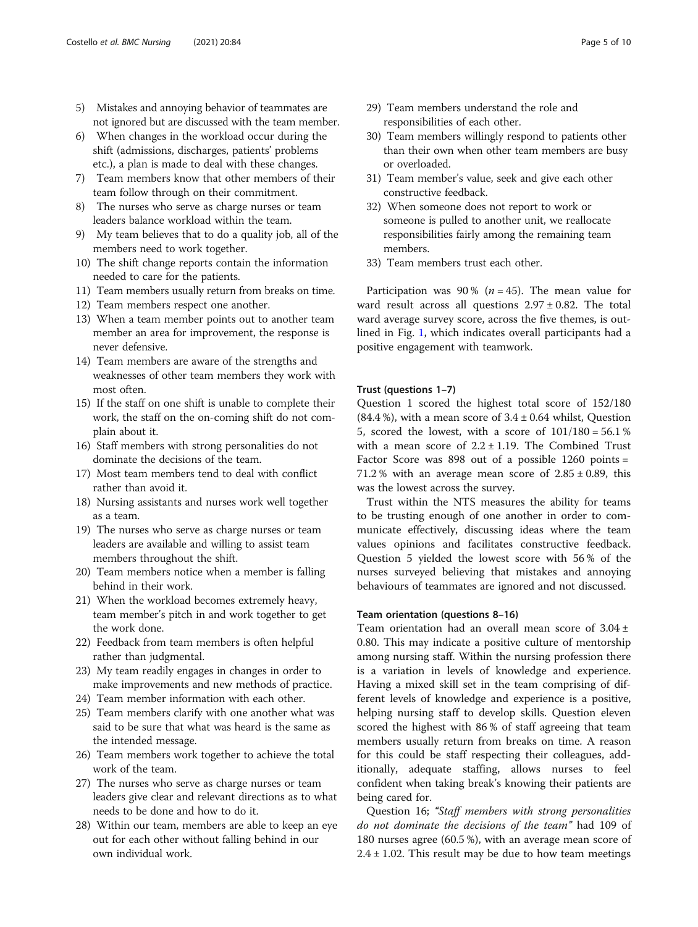- 5) Mistakes and annoying behavior of teammates are not ignored but are discussed with the team member.
- 6) When changes in the workload occur during the shift (admissions, discharges, patients' problems etc.), a plan is made to deal with these changes.
- 7) Team members know that other members of their team follow through on their commitment.
- 8) The nurses who serve as charge nurses or team leaders balance workload within the team.
- 9) My team believes that to do a quality job, all of the members need to work together.
- 10) The shift change reports contain the information needed to care for the patients.
- 11) Team members usually return from breaks on time.
- 12) Team members respect one another.
- 13) When a team member points out to another team member an area for improvement, the response is never defensive.
- 14) Team members are aware of the strengths and weaknesses of other team members they work with most often.
- 15) If the staff on one shift is unable to complete their work, the staff on the on-coming shift do not complain about it.
- 16) Staff members with strong personalities do not dominate the decisions of the team.
- 17) Most team members tend to deal with conflict rather than avoid it.
- 18) Nursing assistants and nurses work well together as a team.
- 19) The nurses who serve as charge nurses or team leaders are available and willing to assist team members throughout the shift.
- 20) Team members notice when a member is falling behind in their work.
- 21) When the workload becomes extremely heavy, team member's pitch in and work together to get the work done.
- 22) Feedback from team members is often helpful rather than judgmental.
- 23) My team readily engages in changes in order to make improvements and new methods of practice.
- 24) Team member information with each other.
- 25) Team members clarify with one another what was said to be sure that what was heard is the same as the intended message.
- 26) Team members work together to achieve the total work of the team.
- 27) The nurses who serve as charge nurses or team leaders give clear and relevant directions as to what needs to be done and how to do it.
- 28) Within our team, members are able to keep an eye out for each other without falling behind in our own individual work.
- 29) Team members understand the role and responsibilities of each other.
- 30) Team members willingly respond to patients other than their own when other team members are busy or overloaded.
- 31) Team member's value, seek and give each other constructive feedback.
- 32) When someone does not report to work or someone is pulled to another unit, we reallocate responsibilities fairly among the remaining team members.
- 33) Team members trust each other.

Participation was 90% ( $n = 45$ ). The mean value for ward result across all questions  $2.97 \pm 0.82$ . The total ward average survey score, across the five themes, is outlined in Fig. [1](#page-6-0), which indicates overall participants had a positive engagement with teamwork.

# Trust (questions 1–7)

Question 1 scored the highest total score of 152/180  $(84.4\%)$ , with a mean score of  $3.4 \pm 0.64$  whilst, Question 5, scored the lowest, with a score of  $101/180 = 56.1$  % with a mean score of  $2.2 \pm 1.19$ . The Combined Trust Factor Score was 898 out of a possible 1260 points = 71.2 % with an average mean score of  $2.85 \pm 0.89$ , this was the lowest across the survey.

Trust within the NTS measures the ability for teams to be trusting enough of one another in order to communicate effectively, discussing ideas where the team values opinions and facilitates constructive feedback. Question 5 yielded the lowest score with 56 % of the nurses surveyed believing that mistakes and annoying behaviours of teammates are ignored and not discussed.

# Team orientation (questions 8–16)

Team orientation had an overall mean score of 3.04 ± 0.80. This may indicate a positive culture of mentorship among nursing staff. Within the nursing profession there is a variation in levels of knowledge and experience. Having a mixed skill set in the team comprising of different levels of knowledge and experience is a positive, helping nursing staff to develop skills. Question eleven scored the highest with 86 % of staff agreeing that team members usually return from breaks on time. A reason for this could be staff respecting their colleagues, additionally, adequate staffing, allows nurses to feel confident when taking break's knowing their patients are being cared for.

Question 16; "Staff members with strong personalities do not dominate the decisions of the team" had 109 of 180 nurses agree (60.5 %), with an average mean score of  $2.4 \pm 1.02$ . This result may be due to how team meetings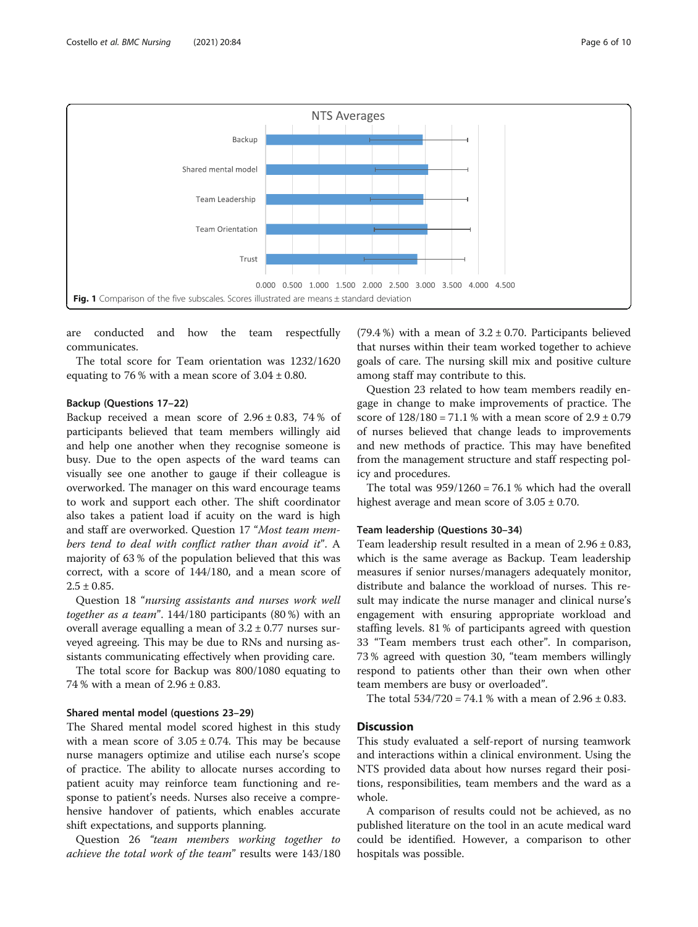<span id="page-6-0"></span>

are conducted and how the team respectfully communicates.

The total score for Team orientation was 1232/1620 equating to 76 % with a mean score of  $3.04 \pm 0.80$ .

# Backup (Questions 17–22)

Backup received a mean score of  $2.96 \pm 0.83$ , 74% of participants believed that team members willingly aid and help one another when they recognise someone is busy. Due to the open aspects of the ward teams can visually see one another to gauge if their colleague is overworked. The manager on this ward encourage teams to work and support each other. The shift coordinator also takes a patient load if acuity on the ward is high and staff are overworked. Question 17 "Most team members tend to deal with conflict rather than avoid it". A majority of 63 % of the population believed that this was correct, with a score of 144/180, and a mean score of  $2.5 \pm 0.85$ .

Question 18 "nursing assistants and nurses work well together as a team". 144/180 participants (80 %) with an overall average equalling a mean of  $3.2 \pm 0.77$  nurses surveyed agreeing. This may be due to RNs and nursing assistants communicating effectively when providing care.

The total score for Backup was 800/1080 equating to 74 % with a mean of 2.96 ± 0.83.

#### Shared mental model (questions 23–29)

The Shared mental model scored highest in this study with a mean score of  $3.05 \pm 0.74$ . This may be because nurse managers optimize and utilise each nurse's scope of practice. The ability to allocate nurses according to patient acuity may reinforce team functioning and response to patient's needs. Nurses also receive a comprehensive handover of patients, which enables accurate shift expectations, and supports planning.

Question 26 "team members working together to achieve the total work of the team" results were 143/180

(79.4 %) with a mean of  $3.2 \pm 0.70$ . Participants believed that nurses within their team worked together to achieve goals of care. The nursing skill mix and positive culture among staff may contribute to this.

Question 23 related to how team members readily engage in change to make improvements of practice. The score of  $128/180 = 71.1$  % with a mean score of  $2.9 \pm 0.79$ of nurses believed that change leads to improvements and new methods of practice. This may have benefited from the management structure and staff respecting policy and procedures.

The total was  $959/1260 = 76.1$  % which had the overall highest average and mean score of  $3.05 \pm 0.70$ .

# Team leadership (Questions 30–34)

Team leadership result resulted in a mean of  $2.96 \pm 0.83$ , which is the same average as Backup. Team leadership measures if senior nurses/managers adequately monitor, distribute and balance the workload of nurses. This result may indicate the nurse manager and clinical nurse's engagement with ensuring appropriate workload and staffing levels. 81 % of participants agreed with question 33 "Team members trust each other". In comparison, 73 % agreed with question 30, "team members willingly respond to patients other than their own when other team members are busy or overloaded".

The total  $534/720 = 74.1$  % with a mean of  $2.96 \pm 0.83$ .

#### **Discussion**

This study evaluated a self-report of nursing teamwork and interactions within a clinical environment. Using the NTS provided data about how nurses regard their positions, responsibilities, team members and the ward as a whole.

A comparison of results could not be achieved, as no published literature on the tool in an acute medical ward could be identified. However, a comparison to other hospitals was possible.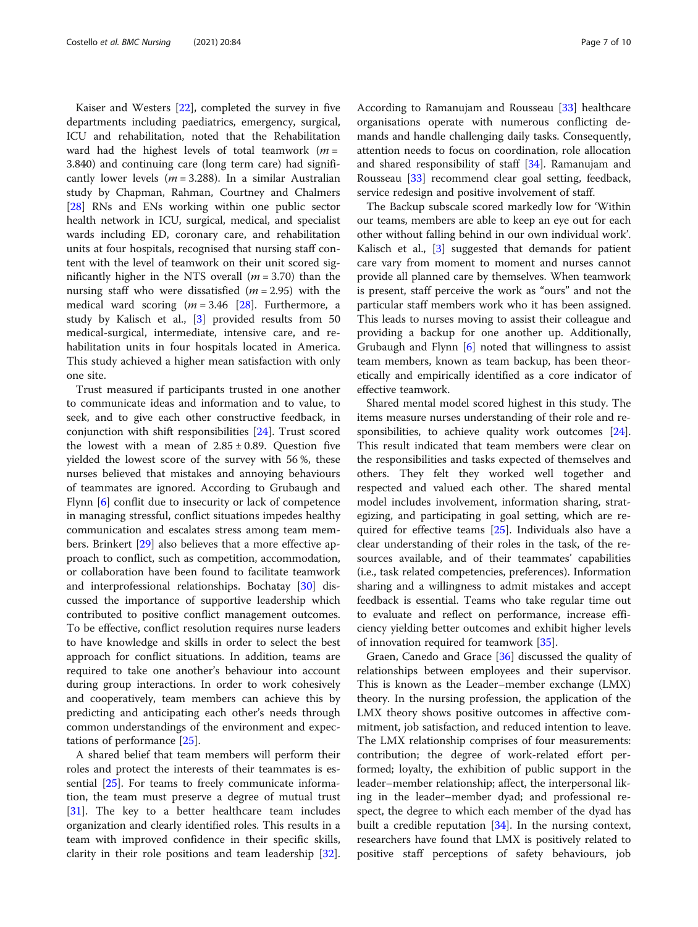Kaiser and Westers [[22](#page-9-0)], completed the survey in five departments including paediatrics, emergency, surgical, ICU and rehabilitation, noted that the Rehabilitation ward had the highest levels of total teamwork ( $m =$ 3.840) and continuing care (long term care) had significantly lower levels ( $m = 3.288$ ). In a similar Australian study by Chapman, Rahman, Courtney and Chalmers [[28\]](#page-9-0) RNs and ENs working within one public sector health network in ICU, surgical, medical, and specialist wards including ED, coronary care, and rehabilitation units at four hospitals, recognised that nursing staff content with the level of teamwork on their unit scored significantly higher in the NTS overall  $(m = 3.70)$  than the nursing staff who were dissatisfied  $(m = 2.95)$  with the medical ward scoring  $(m = 3.46$  [\[28](#page-9-0)]. Furthermore, a study by Kalisch et al., [[3\]](#page-9-0) provided results from 50 medical-surgical, intermediate, intensive care, and rehabilitation units in four hospitals located in America. This study achieved a higher mean satisfaction with only one site.

Trust measured if participants trusted in one another to communicate ideas and information and to value, to seek, and to give each other constructive feedback, in conjunction with shift responsibilities [\[24\]](#page-9-0). Trust scored the lowest with a mean of  $2.85 \pm 0.89$ . Question five yielded the lowest score of the survey with 56 %, these nurses believed that mistakes and annoying behaviours of teammates are ignored. According to Grubaugh and Flynn [[6\]](#page-9-0) conflit due to insecurity or lack of competence in managing stressful, conflict situations impedes healthy communication and escalates stress among team members. Brinkert [\[29\]](#page-9-0) also believes that a more effective approach to conflict, such as competition, accommodation, or collaboration have been found to facilitate teamwork and interprofessional relationships. Bochatay [[30\]](#page-9-0) discussed the importance of supportive leadership which contributed to positive conflict management outcomes. To be effective, conflict resolution requires nurse leaders to have knowledge and skills in order to select the best approach for conflict situations. In addition, teams are required to take one another's behaviour into account during group interactions. In order to work cohesively and cooperatively, team members can achieve this by predicting and anticipating each other's needs through common understandings of the environment and expectations of performance [\[25\]](#page-9-0).

A shared belief that team members will perform their roles and protect the interests of their teammates is essential [\[25](#page-9-0)]. For teams to freely communicate information, the team must preserve a degree of mutual trust [[31\]](#page-9-0). The key to a better healthcare team includes organization and clearly identified roles. This results in a team with improved confidence in their specific skills, clarity in their role positions and team leadership [\[32](#page-9-0)].

According to Ramanujam and Rousseau [[33\]](#page-9-0) healthcare organisations operate with numerous conflicting demands and handle challenging daily tasks. Consequently, attention needs to focus on coordination, role allocation and shared responsibility of staff [[34\]](#page-9-0). Ramanujam and Rousseau [[33](#page-9-0)] recommend clear goal setting, feedback, service redesign and positive involvement of staff.

The Backup subscale scored markedly low for 'Within our teams, members are able to keep an eye out for each other without falling behind in our own individual work'. Kalisch et al., [\[3\]](#page-9-0) suggested that demands for patient care vary from moment to moment and nurses cannot provide all planned care by themselves. When teamwork is present, staff perceive the work as "ours" and not the particular staff members work who it has been assigned. This leads to nurses moving to assist their colleague and providing a backup for one another up. Additionally, Grubaugh and Flynn  $[6]$  $[6]$  noted that willingness to assist team members, known as team backup, has been theoretically and empirically identified as a core indicator of effective teamwork.

Shared mental model scored highest in this study. The items measure nurses understanding of their role and responsibilities, to achieve quality work outcomes [\[24](#page-9-0)]. This result indicated that team members were clear on the responsibilities and tasks expected of themselves and others. They felt they worked well together and respected and valued each other. The shared mental model includes involvement, information sharing, strategizing, and participating in goal setting, which are re-quired for effective teams [[25](#page-9-0)]. Individuals also have a clear understanding of their roles in the task, of the resources available, and of their teammates' capabilities (i.e., task related competencies, preferences). Information sharing and a willingness to admit mistakes and accept feedback is essential. Teams who take regular time out to evaluate and reflect on performance, increase efficiency yielding better outcomes and exhibit higher levels of innovation required for teamwork [\[35\]](#page-9-0).

Graen, Canedo and Grace [\[36\]](#page-9-0) discussed the quality of relationships between employees and their supervisor. This is known as the Leader–member exchange (LMX) theory. In the nursing profession, the application of the LMX theory shows positive outcomes in affective commitment, job satisfaction, and reduced intention to leave. The LMX relationship comprises of four measurements: contribution; the degree of work-related effort performed; loyalty, the exhibition of public support in the leader–member relationship; affect, the interpersonal liking in the leader–member dyad; and professional respect, the degree to which each member of the dyad has built a credible reputation [\[34\]](#page-9-0). In the nursing context, researchers have found that LMX is positively related to positive staff perceptions of safety behaviours, job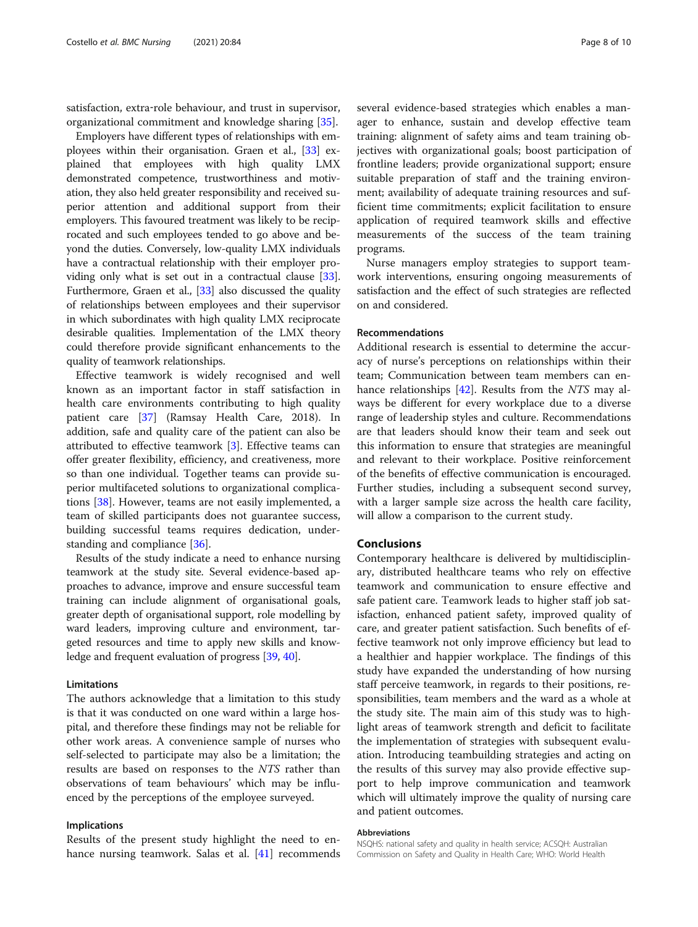satisfaction, extra-role behaviour, and trust in supervisor, organizational commitment and knowledge sharing [[35](#page-9-0)].

Employers have different types of relationships with employees within their organisation. Graen et al., [\[33](#page-9-0)] explained that employees with high quality LMX demonstrated competence, trustworthiness and motivation, they also held greater responsibility and received superior attention and additional support from their employers. This favoured treatment was likely to be reciprocated and such employees tended to go above and beyond the duties. Conversely, low-quality LMX individuals have a contractual relationship with their employer providing only what is set out in a contractual clause [[33](#page-9-0)]. Furthermore, Graen et al., [\[33](#page-9-0)] also discussed the quality of relationships between employees and their supervisor in which subordinates with high quality LMX reciprocate desirable qualities. Implementation of the LMX theory could therefore provide significant enhancements to the quality of teamwork relationships.

Effective teamwork is widely recognised and well known as an important factor in staff satisfaction in health care environments contributing to high quality patient care [\[37\]](#page-9-0) (Ramsay Health Care, 2018). In addition, safe and quality care of the patient can also be attributed to effective teamwork [[3\]](#page-9-0). Effective teams can offer greater flexibility, efficiency, and creativeness, more so than one individual. Together teams can provide superior multifaceted solutions to organizational complications [[38\]](#page-9-0). However, teams are not easily implemented, a team of skilled participants does not guarantee success, building successful teams requires dedication, understanding and compliance [\[36\]](#page-9-0).

Results of the study indicate a need to enhance nursing teamwork at the study site. Several evidence-based approaches to advance, improve and ensure successful team training can include alignment of organisational goals, greater depth of organisational support, role modelling by ward leaders, improving culture and environment, targeted resources and time to apply new skills and knowledge and frequent evaluation of progress [\[39,](#page-10-0) [40](#page-10-0)].

#### Limitations

The authors acknowledge that a limitation to this study is that it was conducted on one ward within a large hospital, and therefore these findings may not be reliable for other work areas. A convenience sample of nurses who self-selected to participate may also be a limitation; the results are based on responses to the NTS rather than observations of team behaviours' which may be influenced by the perceptions of the employee surveyed.

#### Implications

Results of the present study highlight the need to enhance nursing teamwork. Salas et al. [\[41](#page-10-0)] recommends several evidence-based strategies which enables a manager to enhance, sustain and develop effective team training: alignment of safety aims and team training objectives with organizational goals; boost participation of frontline leaders; provide organizational support; ensure suitable preparation of staff and the training environment; availability of adequate training resources and sufficient time commitments; explicit facilitation to ensure application of required teamwork skills and effective measurements of the success of the team training programs.

Nurse managers employ strategies to support teamwork interventions, ensuring ongoing measurements of satisfaction and the effect of such strategies are reflected on and considered.

#### Recommendations

Additional research is essential to determine the accuracy of nurse's perceptions on relationships within their team; Communication between team members can en-hance relationships [[42\]](#page-10-0). Results from the NTS may always be different for every workplace due to a diverse range of leadership styles and culture. Recommendations are that leaders should know their team and seek out this information to ensure that strategies are meaningful and relevant to their workplace. Positive reinforcement of the benefits of effective communication is encouraged. Further studies, including a subsequent second survey, with a larger sample size across the health care facility, will allow a comparison to the current study.

#### Conclusions

Contemporary healthcare is delivered by multidisciplinary, distributed healthcare teams who rely on effective teamwork and communication to ensure effective and safe patient care. Teamwork leads to higher staff job satisfaction, enhanced patient safety, improved quality of care, and greater patient satisfaction. Such benefits of effective teamwork not only improve efficiency but lead to a healthier and happier workplace. The findings of this study have expanded the understanding of how nursing staff perceive teamwork, in regards to their positions, responsibilities, team members and the ward as a whole at the study site. The main aim of this study was to highlight areas of teamwork strength and deficit to facilitate the implementation of strategies with subsequent evaluation. Introducing teambuilding strategies and acting on the results of this survey may also provide effective support to help improve communication and teamwork which will ultimately improve the quality of nursing care and patient outcomes.

#### Abbreviations

NSQHS: national safety and quality in health service; ACSQH: Australian Commission on Safety and Quality in Health Care; WHO: World Health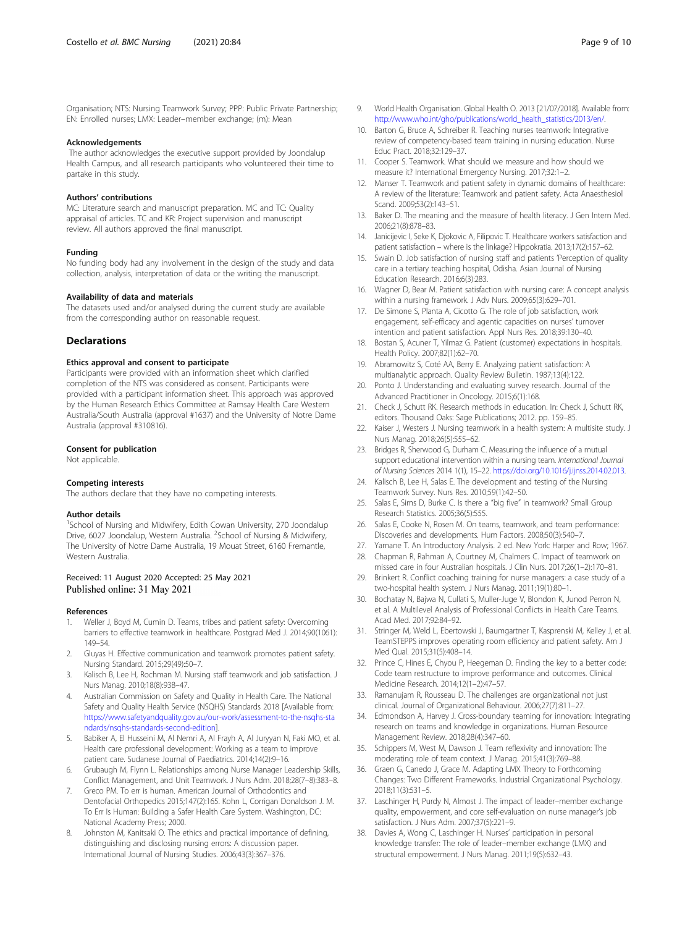<span id="page-9-0"></span>Organisation; NTS: Nursing Teamwork Survey; PPP: Public Private Partnership; EN: Enrolled nurses; LMX: Leader–member exchange; (m): Mean

#### Acknowledgements

The author acknowledges the executive support provided by Joondalup Health Campus, and all research participants who volunteered their time to partake in this study.

#### Authors' contributions

MC: Literature search and manuscript preparation. MC and TC: Quality appraisal of articles. TC and KR: Project supervision and manuscript review. All authors approved the final manuscript.

#### Funding

No funding body had any involvement in the design of the study and data collection, analysis, interpretation of data or the writing the manuscript.

#### Availability of data and materials

The datasets used and/or analysed during the current study are available from the corresponding author on reasonable request.

#### **Declarations**

#### Ethics approval and consent to participate

Participants were provided with an information sheet which clarified completion of the NTS was considered as consent. Participants were provided with a participant information sheet. This approach was approved by the Human Research Ethics Committee at Ramsay Health Care Western Australia/South Australia (approval #1637) and the University of Notre Dame Australia (approval #310816).

#### Consent for publication

Not applicable.

#### Competing interests

The authors declare that they have no competing interests.

#### Author details

<sup>1</sup>School of Nursing and Midwifery, Edith Cowan University, 270 Joondalup Drive, 6027 Joondalup, Western Australia. <sup>2</sup>School of Nursing & Midwifery, The University of Notre Dame Australia, 19 Mouat Street, 6160 Fremantle, Western Australia.

# Received: 11 August 2020 Accepted: 25 May 2021 Published online: 31 May 2021

#### References

- 1. Weller J, Boyd M, Cumin D. Teams, tribes and patient safety: Overcoming barriers to effective teamwork in healthcare. Postgrad Med J. 2014;90(1061): 149–54.
- 2. Gluyas H. Effective communication and teamwork promotes patient safety. Nursing Standard. 2015;29(49):50–7.
- 3. Kalisch B, Lee H, Rochman M. Nursing staff teamwork and job satisfaction. J Nurs Manag. 2010;18(8):938–47.
- 4. Australian Commission on Safety and Quality in Health Care. The National Safety and Quality Health Service (NSQHS) Standards 2018 [Available from: [https://www.safetyandquality.gov.au/our-work/assessment-to-the-nsqhs-sta](https://www.safetyandquality.gov.au/our-work/assessment-to-the-nsqhs-standards/nsqhs-standards-second-edition) [ndards/nsqhs-standards-second-edition](https://www.safetyandquality.gov.au/our-work/assessment-to-the-nsqhs-standards/nsqhs-standards-second-edition)].
- Babiker A, El Husseini M, Al Nemri A, Al Frayh A, Al Juryyan N, Faki MO, et al. Health care professional development: Working as a team to improve patient care. Sudanese Journal of Paediatrics. 2014;14(2):9–16.
- 6. Grubaugh M, Flynn L. Relationships among Nurse Manager Leadership Skills, Conflict Management, and Unit Teamwork. J Nurs Adm. 2018;28(7–8):383–8.
- 7. Greco PM. To err is human. American Journal of Orthodontics and Dentofacial Orthopedics 2015;147(2):165. Kohn L, Corrigan Donaldson J. M. To Err Is Human: Building a Safer Health Care System. Washington, DC: National Academy Press; 2000.
- 8. Johnston M, Kanitsaki O. The ethics and practical importance of defining, distinguishing and disclosing nursing errors: A discussion paper. International Journal of Nursing Studies. 2006;43(3):367–376.
- 9. World Health Organisation. Global Health O. 2013 [21/07/2018]. Available from: [http://www.who.int/gho/publications/world\\_health\\_statistics/2013/en/.](http://www.who.int/gho/publications/world_health_statistics/2013/en/)
- 10. Barton G, Bruce A, Schreiber R. Teaching nurses teamwork: Integrative review of competency-based team training in nursing education. Nurse Educ Pract. 2018;32:129–37.
- 11. Cooper S. Teamwork. What should we measure and how should we measure it? International Emergency Nursing. 2017;32:1–2.
- 12. Manser T. Teamwork and patient safety in dynamic domains of healthcare: A review of the literature: Teamwork and patient safety. Acta Anaesthesiol Scand. 2009;53(2):143–51.
- 13. Baker D. The meaning and the measure of health literacy. J Gen Intern Med. 2006;21(8):878–83.
- 14. Janicijevic I, Seke K, Djokovic A, Filipovic T. Healthcare workers satisfaction and patient satisfaction – where is the linkage? Hippokratia. 2013;17(2):157–62.
- 15. Swain D. Job satisfaction of nursing staff and patients 'Perception of quality care in a tertiary teaching hospital, Odisha. Asian Journal of Nursing Education Research. 2016;6(3):283.
- 16. Wagner D, Bear M. Patient satisfaction with nursing care: A concept analysis within a nursing framework. J Adv Nurs. 2009;65(3):629–701.
- 17. De Simone S, Planta A, Cicotto G. The role of job satisfaction, work engagement, self-efficacy and agentic capacities on nurses' turnover intention and patient satisfaction. Appl Nurs Res. 2018;39:130–40.
- 18. Bostan S, Acuner T, Yilmaz G. Patient (customer) expectations in hospitals. Health Policy. 2007;82(1):62–70.
- 19. Abramowitz S, Coté AA, Berry E. Analyzing patient satisfaction: A multianalytic approach. Quality Review Bulletin. 1987;13(4):122.
- 20. Ponto J. Understanding and evaluating survey research. Journal of the Advanced Practitioner in Oncology. 2015;6(1):168.
- 21. Check J, Schutt RK. Research methods in education. In: Check J, Schutt RK, editors. Thousand Oaks: Sage Publications; 2012. pp. 159–85.
- 22. Kaiser J, Westers J. Nursing teamwork in a health system: A multisite study. J Nurs Manag. 2018;26(5):555–62.
- 23. Bridges R, Sherwood G, Durham C. Measuring the influence of a mutual support educational intervention within a nursing team. International Journal of Nursing Sciences 2014 1(1), 15–22. [https://doi.org/10.1016/j.ijnss.2014.02.013.](https://doi.org/10.1016/j.ijnss.2014.02.013)
- 24. Kalisch B, Lee H, Salas E. The development and testing of the Nursing Teamwork Survey. Nurs Res. 2010;59(1):42–50.
- 25. Salas E, Sims D, Burke C. Is there a "big five" in teamwork? Small Group Research Statistics. 2005;36(5):555.
- 26. Salas E, Cooke N, Rosen M. On teams, teamwork, and team performance: Discoveries and developments. Hum Factors. 2008;50(3):540–7.
- 27. Yamane T. An Introductory Analysis. 2 ed. New York: Harper and Row; 1967.
- 28. Chapman R, Rahman A, Courtney M, Chalmers C. Impact of teamwork on missed care in four Australian hospitals. J Clin Nurs. 2017;26(1–2):170–81.
- 29. Brinkert R. Conflict coaching training for nurse managers: a case study of a two-hospital health system. J Nurs Manag. 2011;19(1):80–1.
- 30. Bochatay N, Bajwa N, Cullati S, Muller-Juge V, Blondon K, Junod Perron N, et al. A Multilevel Analysis of Professional Conflicts in Health Care Teams. Acad Med. 2017;92:84–92.
- 31. Stringer M, Weld L, Ebertowski J, Baumgartner T, Kasprenski M, Kelley J, et al. TeamSTEPPS improves operating room efficiency and patient safety. Am J Med Qual. 2015;31(5):408–14.
- 32. Prince C, Hines E, Chyou P, Heegeman D. Finding the key to a better code: Code team restructure to improve performance and outcomes. Clinical Medicine Research. 2014;12(1–2):47–57.
- 33. Ramanujam R, Rousseau D. The challenges are organizational not just clinical. Journal of Organizational Behaviour. 2006;27(7):811–27.
- 34. Edmondson A, Harvey J. Cross-boundary teaming for innovation: Integrating research on teams and knowledge in organizations. Human Resource Management Review. 2018;28(4):347–60.
- 35. Schippers M, West M, Dawson J. Team reflexivity and innovation: The moderating role of team context. J Manag. 2015;41(3):769–88.
- 36. Graen G, Canedo J, Grace M. Adapting LMX Theory to Forthcoming Changes: Two Different Frameworks. Industrial Organizational Psychology. 2018;11(3):531–5.
- 37. Laschinger H, Purdy N, Almost J. The impact of leader–member exchange quality, empowerment, and core self-evaluation on nurse manager's job satisfaction. J Nurs Adm. 2007;37(5):221–9.
- 38. Davies A, Wong C, Laschinger H. Nurses' participation in personal knowledge transfer: The role of leader–member exchange (LMX) and structural empowerment. J Nurs Manag. 2011;19(5):632–43.